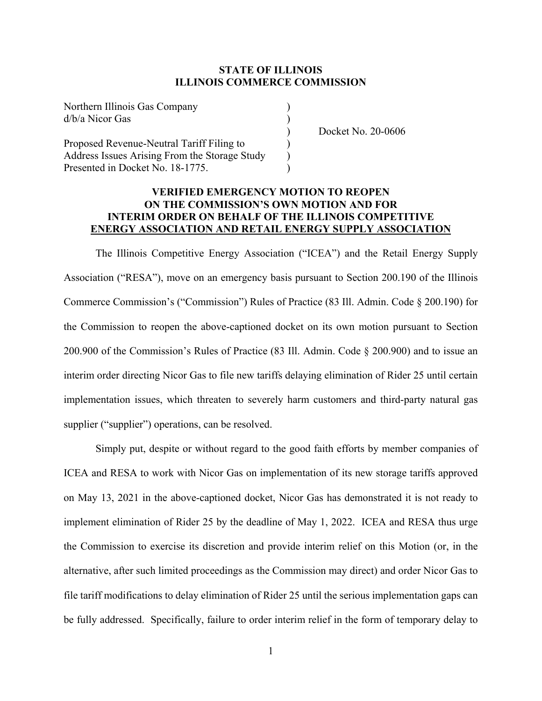Northern Illinois Gas Company ) d/b/a Nicor Gas )

Proposed Revenue-Neutral Tariff Filing to ) Address Issues Arising From the Storage Study ) Presented in Docket No. 18-1775.

) Docket No. 20-0606

### **VERIFIED EMERGENCY MOTION TO REOPEN ON THE COMMISSION'S OWN MOTION AND FOR INTERIM ORDER ON BEHALF OF THE ILLINOIS COMPETITIVE ENERGY ASSOCIATION AND RETAIL ENERGY SUPPLY ASSOCIATION**

The Illinois Competitive Energy Association ("ICEA") and the Retail Energy Supply Association ("RESA"), move on an emergency basis pursuant to Section 200.190 of the Illinois Commerce Commission's ("Commission") Rules of Practice (83 Ill. Admin. Code § 200.190) for the Commission to reopen the above-captioned docket on its own motion pursuant to Section 200.900 of the Commission's Rules of Practice (83 Ill. Admin. Code § 200.900) and to issue an interim order directing Nicor Gas to file new tariffs delaying elimination of Rider 25 until certain implementation issues, which threaten to severely harm customers and third-party natural gas supplier ("supplier") operations, can be resolved.

Simply put, despite or without regard to the good faith efforts by member companies of ICEA and RESA to work with Nicor Gas on implementation of its new storage tariffs approved on May 13, 2021 in the above-captioned docket, Nicor Gas has demonstrated it is not ready to implement elimination of Rider 25 by the deadline of May 1, 2022. ICEA and RESA thus urge the Commission to exercise its discretion and provide interim relief on this Motion (or, in the alternative, after such limited proceedings as the Commission may direct) and order Nicor Gas to file tariff modifications to delay elimination of Rider 25 until the serious implementation gaps can be fully addressed. Specifically, failure to order interim relief in the form of temporary delay to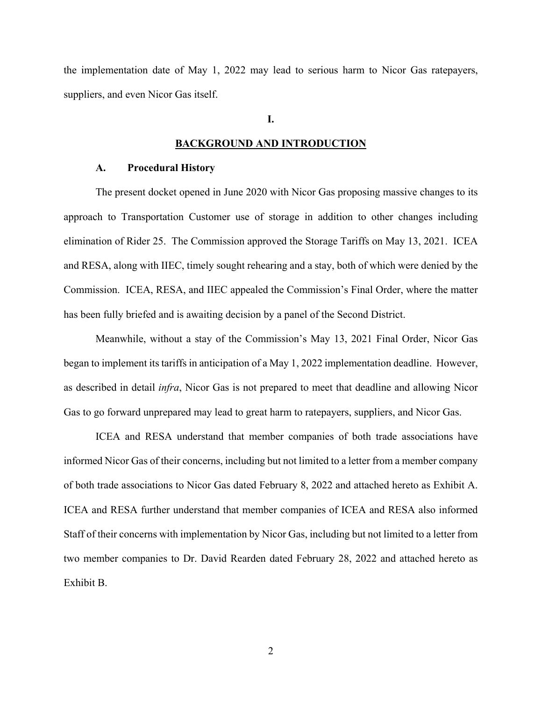the implementation date of May 1, 2022 may lead to serious harm to Nicor Gas ratepayers, suppliers, and even Nicor Gas itself.

#### **I.**

#### **BACKGROUND AND INTRODUCTION**

#### **A. Procedural History**

The present docket opened in June 2020 with Nicor Gas proposing massive changes to its approach to Transportation Customer use of storage in addition to other changes including elimination of Rider 25. The Commission approved the Storage Tariffs on May 13, 2021. ICEA and RESA, along with IIEC, timely sought rehearing and a stay, both of which were denied by the Commission. ICEA, RESA, and IIEC appealed the Commission's Final Order, where the matter has been fully briefed and is awaiting decision by a panel of the Second District.

Meanwhile, without a stay of the Commission's May 13, 2021 Final Order, Nicor Gas began to implement its tariffs in anticipation of a May 1, 2022 implementation deadline. However, as described in detail *infra*, Nicor Gas is not prepared to meet that deadline and allowing Nicor Gas to go forward unprepared may lead to great harm to ratepayers, suppliers, and Nicor Gas.

ICEA and RESA understand that member companies of both trade associations have informed Nicor Gas of their concerns, including but not limited to a letter from a member company of both trade associations to Nicor Gas dated February 8, 2022 and attached hereto as Exhibit A. ICEA and RESA further understand that member companies of ICEA and RESA also informed Staff of their concerns with implementation by Nicor Gas, including but not limited to a letter from two member companies to Dr. David Rearden dated February 28, 2022 and attached hereto as Exhibit B.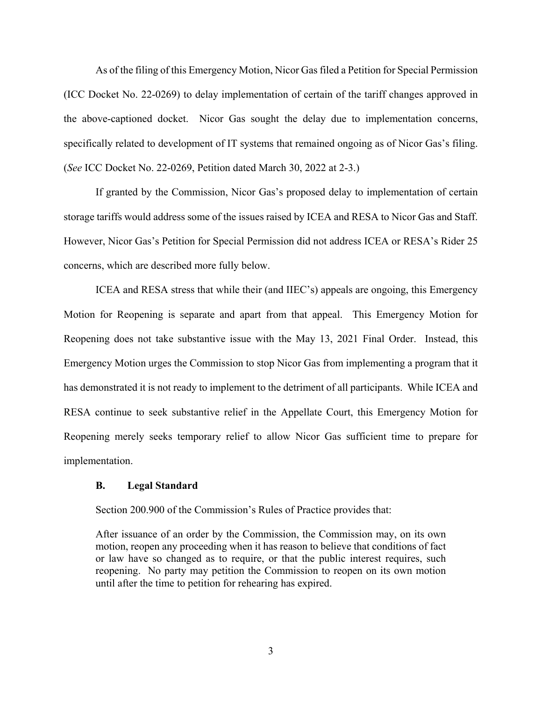As of the filing of this Emergency Motion, Nicor Gas filed a Petition for Special Permission (ICC Docket No. 22-0269) to delay implementation of certain of the tariff changes approved in the above-captioned docket. Nicor Gas sought the delay due to implementation concerns, specifically related to development of IT systems that remained ongoing as of Nicor Gas's filing. (*See* ICC Docket No. 22-0269, Petition dated March 30, 2022 at 2-3.)

If granted by the Commission, Nicor Gas's proposed delay to implementation of certain storage tariffs would address some of the issues raised by ICEA and RESA to Nicor Gas and Staff. However, Nicor Gas's Petition for Special Permission did not address ICEA or RESA's Rider 25 concerns, which are described more fully below.

ICEA and RESA stress that while their (and IIEC's) appeals are ongoing, this Emergency Motion for Reopening is separate and apart from that appeal. This Emergency Motion for Reopening does not take substantive issue with the May 13, 2021 Final Order. Instead, this Emergency Motion urges the Commission to stop Nicor Gas from implementing a program that it has demonstrated it is not ready to implement to the detriment of all participants. While ICEA and RESA continue to seek substantive relief in the Appellate Court, this Emergency Motion for Reopening merely seeks temporary relief to allow Nicor Gas sufficient time to prepare for implementation.

#### **B. Legal Standard**

Section 200.900 of the Commission's Rules of Practice provides that:

After issuance of an order by the Commission, the Commission may, on its own motion, reopen any proceeding when it has reason to believe that conditions of fact or law have so changed as to require, or that the public interest requires, such reopening. No party may petition the Commission to reopen on its own motion until after the time to petition for rehearing has expired.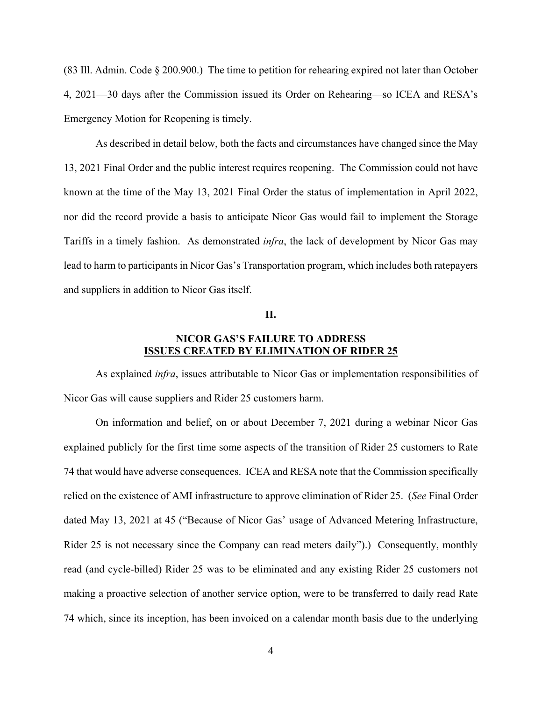(83 Ill. Admin. Code § 200.900.) The time to petition for rehearing expired not later than October 4, 2021—30 days after the Commission issued its Order on Rehearing—so ICEA and RESA's Emergency Motion for Reopening is timely.

As described in detail below, both the facts and circumstances have changed since the May 13, 2021 Final Order and the public interest requires reopening. The Commission could not have known at the time of the May 13, 2021 Final Order the status of implementation in April 2022, nor did the record provide a basis to anticipate Nicor Gas would fail to implement the Storage Tariffs in a timely fashion. As demonstrated *infra*, the lack of development by Nicor Gas may lead to harm to participants in Nicor Gas's Transportation program, which includes both ratepayers and suppliers in addition to Nicor Gas itself.

#### **II.**

### **NICOR GAS'S FAILURE TO ADDRESS ISSUES CREATED BY ELIMINATION OF RIDER 25**

As explained *infra*, issues attributable to Nicor Gas or implementation responsibilities of Nicor Gas will cause suppliers and Rider 25 customers harm.

On information and belief, on or about December 7, 2021 during a webinar Nicor Gas explained publicly for the first time some aspects of the transition of Rider 25 customers to Rate 74 that would have adverse consequences. ICEA and RESA note that the Commission specifically relied on the existence of AMI infrastructure to approve elimination of Rider 25. (*See* Final Order dated May 13, 2021 at 45 ("Because of Nicor Gas' usage of Advanced Metering Infrastructure, Rider 25 is not necessary since the Company can read meters daily").) Consequently, monthly read (and cycle-billed) Rider 25 was to be eliminated and any existing Rider 25 customers not making a proactive selection of another service option, were to be transferred to daily read Rate 74 which, since its inception, has been invoiced on a calendar month basis due to the underlying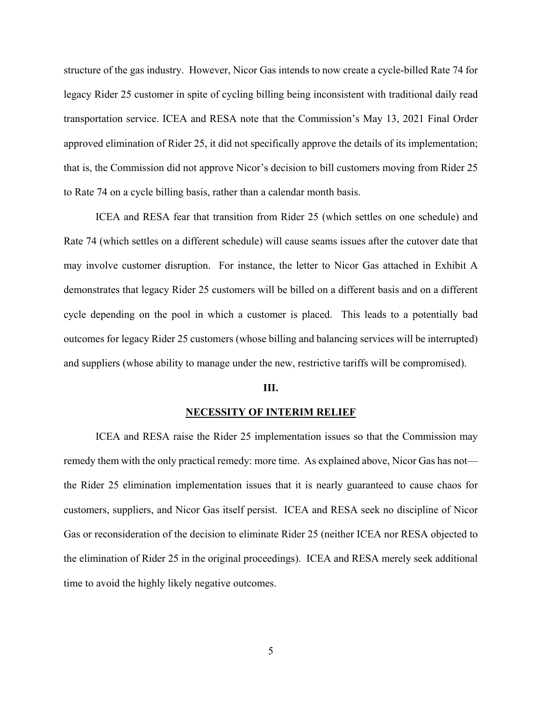structure of the gas industry. However, Nicor Gas intends to now create a cycle-billed Rate 74 for legacy Rider 25 customer in spite of cycling billing being inconsistent with traditional daily read transportation service. ICEA and RESA note that the Commission's May 13, 2021 Final Order approved elimination of Rider 25, it did not specifically approve the details of its implementation; that is, the Commission did not approve Nicor's decision to bill customers moving from Rider 25 to Rate 74 on a cycle billing basis, rather than a calendar month basis.

ICEA and RESA fear that transition from Rider 25 (which settles on one schedule) and Rate 74 (which settles on a different schedule) will cause seams issues after the cutover date that may involve customer disruption. For instance, the letter to Nicor Gas attached in Exhibit A demonstrates that legacy Rider 25 customers will be billed on a different basis and on a different cycle depending on the pool in which a customer is placed. This leads to a potentially bad outcomes for legacy Rider 25 customers (whose billing and balancing services will be interrupted) and suppliers (whose ability to manage under the new, restrictive tariffs will be compromised).

#### **III.**

#### **NECESSITY OF INTERIM RELIEF**

ICEA and RESA raise the Rider 25 implementation issues so that the Commission may remedy them with the only practical remedy: more time. As explained above, Nicor Gas has not the Rider 25 elimination implementation issues that it is nearly guaranteed to cause chaos for customers, suppliers, and Nicor Gas itself persist. ICEA and RESA seek no discipline of Nicor Gas or reconsideration of the decision to eliminate Rider 25 (neither ICEA nor RESA objected to the elimination of Rider 25 in the original proceedings). ICEA and RESA merely seek additional time to avoid the highly likely negative outcomes.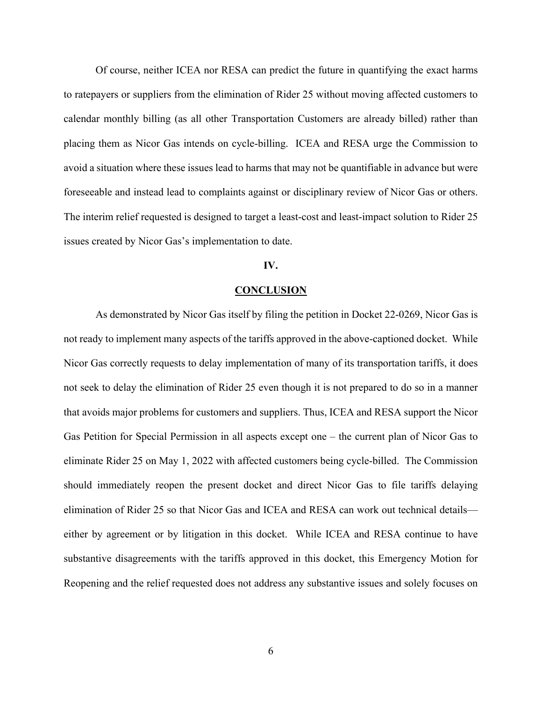Of course, neither ICEA nor RESA can predict the future in quantifying the exact harms to ratepayers or suppliers from the elimination of Rider 25 without moving affected customers to calendar monthly billing (as all other Transportation Customers are already billed) rather than placing them as Nicor Gas intends on cycle-billing. ICEA and RESA urge the Commission to avoid a situation where these issues lead to harms that may not be quantifiable in advance but were foreseeable and instead lead to complaints against or disciplinary review of Nicor Gas or others. The interim relief requested is designed to target a least-cost and least-impact solution to Rider 25 issues created by Nicor Gas's implementation to date.

#### **IV.**

#### **CONCLUSION**

As demonstrated by Nicor Gas itself by filing the petition in Docket 22-0269, Nicor Gas is not ready to implement many aspects of the tariffs approved in the above-captioned docket. While Nicor Gas correctly requests to delay implementation of many of its transportation tariffs, it does not seek to delay the elimination of Rider 25 even though it is not prepared to do so in a manner that avoids major problems for customers and suppliers. Thus, ICEA and RESA support the Nicor Gas Petition for Special Permission in all aspects except one – the current plan of Nicor Gas to eliminate Rider 25 on May 1, 2022 with affected customers being cycle-billed. The Commission should immediately reopen the present docket and direct Nicor Gas to file tariffs delaying elimination of Rider 25 so that Nicor Gas and ICEA and RESA can work out technical details either by agreement or by litigation in this docket. While ICEA and RESA continue to have substantive disagreements with the tariffs approved in this docket, this Emergency Motion for Reopening and the relief requested does not address any substantive issues and solely focuses on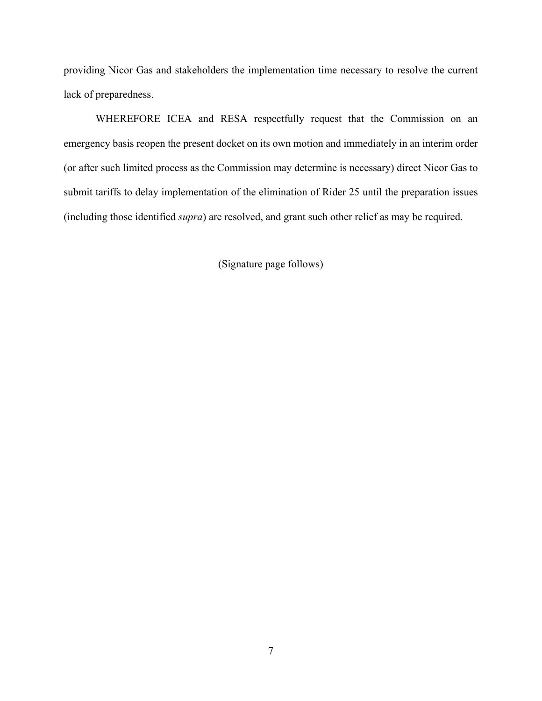providing Nicor Gas and stakeholders the implementation time necessary to resolve the current lack of preparedness.

WHEREFORE ICEA and RESA respectfully request that the Commission on an emergency basis reopen the present docket on its own motion and immediately in an interim order (or after such limited process as the Commission may determine is necessary) direct Nicor Gas to submit tariffs to delay implementation of the elimination of Rider 25 until the preparation issues (including those identified *supra*) are resolved, and grant such other relief as may be required.

(Signature page follows)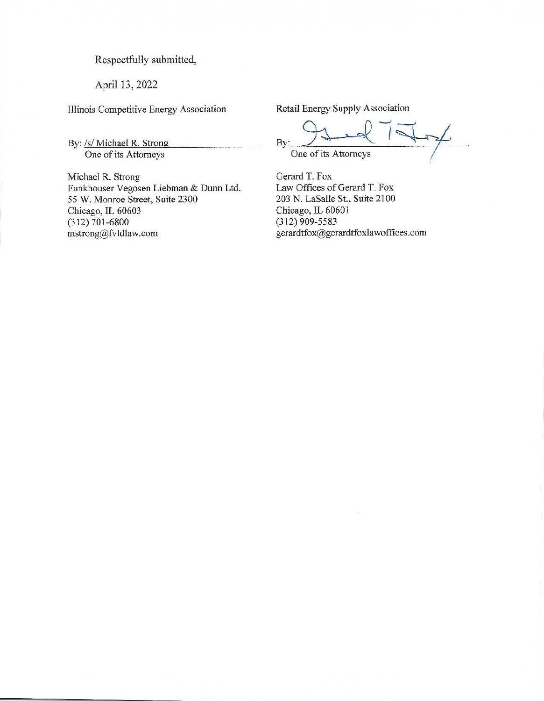Respectfully submitted,

April 13, 2022

Illinois Competitive Energy Association

By: /s/ Michael R. Strong One of its Attorneys

Michael R. Strong Funkhouser Vegosen Liebman & Dunn Ltd. 55 W. Monroe Street, Suite 2300 Chicago, IL 60603  $(312) 701 - 6800$ mstrong@fvldlaw.com

Retail Energy Supply Association

By: One of its Attorneys

Gerard T. Fox Law Offices of Gerard T. Fox 203 N. LaSalle St., Suite 2100 Chicago, IL 60601  $(312)$  909-5583 gerardtfox@gerardtfoxlawoffices.com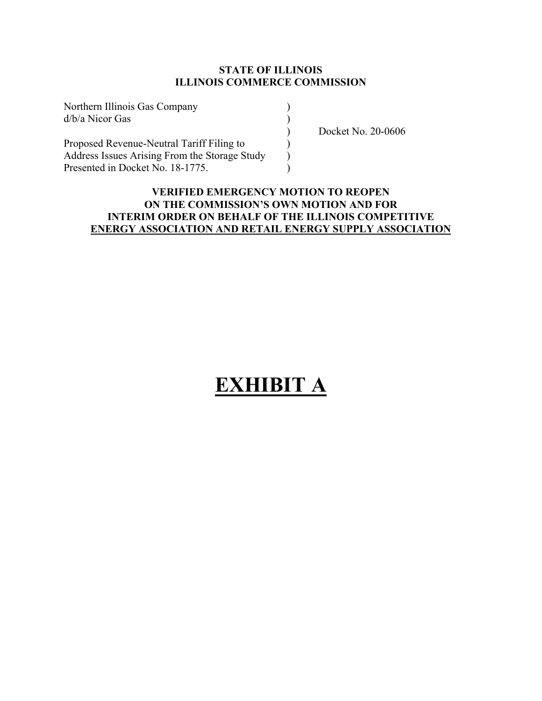| Northern Illinois Gas Company                 |  |
|-----------------------------------------------|--|
| $d/b/a$ Nicor Gas                             |  |
|                                               |  |
| Proposed Revenue-Neutral Tariff Filing to     |  |
| Address Issues Arising From the Storage Study |  |
| Presented in Docket No. 18-1775.              |  |

) Docket No. 20-0606

## **VERIFIED EMERGENCY MOTION TO REOPEN ON THE COMMISSION'S OWN MOTION AND FOR INTERIM ORDER ON BEHALF OF THE ILLINOIS COMPETITIVE ENERGY ASSOCIATION AND RETAIL ENERGY SUPPLY ASSOCIATION**

# **EXHIBIT A**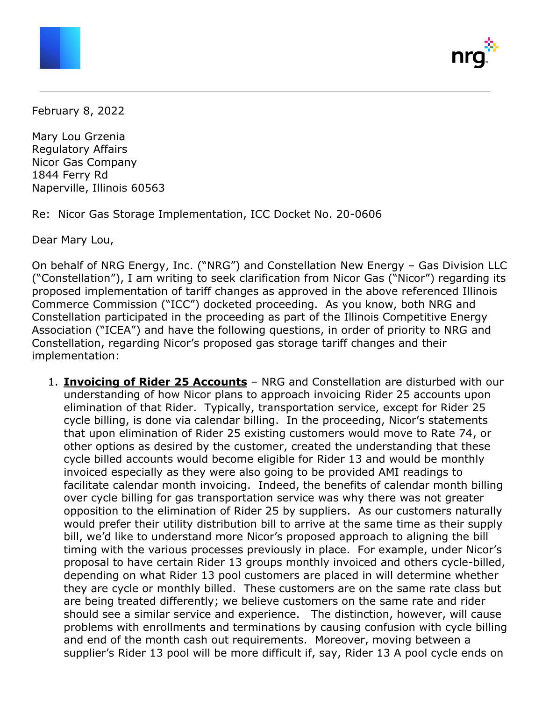

February 8, 2022

Mary Lou Grzenia Regulatory Affairs Nicor Gas Company 1844 Ferry Rd Naperville, Illinois 60563

Re: Nicor Gas Storage Implementation, ICC Docket No. 20-0606

Dear Mary Lou,

On behalf of NRG Energy, Inc. ("NRG") and Constellation New Energy – Gas Division LLC ("Constellation"), I am writing to seek clarification from Nicor Gas ("Nicor") regarding its proposed implementation of tariff changes as approved in the above referenced Illinois Commerce Commission ("ICC") docketed proceeding. As you know, both NRG and Constellation participated in the proceeding as part of the Illinois Competitive Energy Association ("ICEA") and have the following questions, in order of priority to NRG and Constellation, regarding Nicor's proposed gas storage tariff changes and their implementation:

1. **Invoicing of Rider 25 Accounts** – NRG and Constellation are disturbed with our understanding of how Nicor plans to approach invoicing Rider 25 accounts upon elimination of that Rider. Typically, transportation service, except for Rider 25 cycle billing, is done via calendar billing. In the proceeding, Nicor's statements that upon elimination of Rider 25 existing customers would move to Rate 74, or other options as desired by the customer, created the understanding that these cycle billed accounts would become eligible for Rider 13 and would be monthly invoiced especially as they were also going to be provided AMI readings to facilitate calendar month invoicing. Indeed, the benefits of calendar month billing over cycle billing for gas transportation service was why there was not greater opposition to the elimination of Rider 25 by suppliers. As our customers naturally would prefer their utility distribution bill to arrive at the same time as their supply bill, we'd like to understand more Nicor's proposed approach to aligning the bill timing with the various processes previously in place. For example, under Nicor's proposal to have certain Rider 13 groups monthly invoiced and others cycle-billed, depending on what Rider 13 pool customers are placed in will determine whether they are cycle or monthly billed. These customers are on the same rate class but are being treated differently; we believe customers on the same rate and rider should see a similar service and experience. The distinction, however, will cause problems with enrollments and terminations by causing confusion with cycle billing and end of the month cash out requirements. Moreover, moving between a supplier's Rider 13 pool will be more difficult if, say, Rider 13 A pool cycle ends on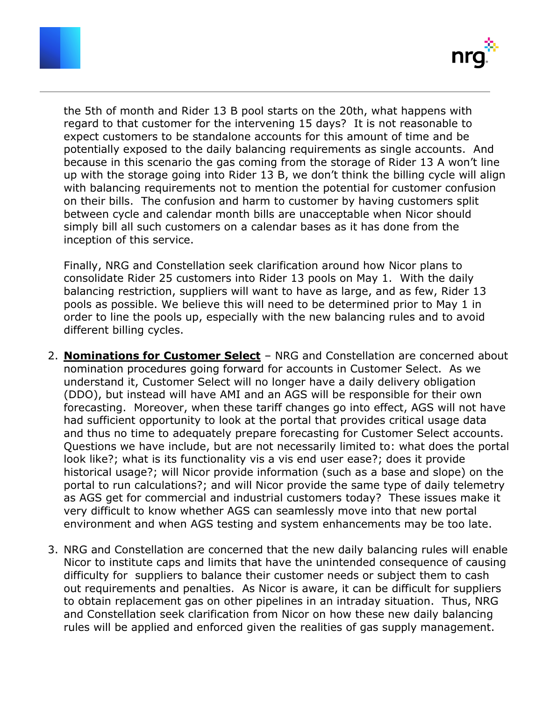



the 5th of month and Rider 13 B pool starts on the 20th, what happens with regard to that customer for the intervening 15 days? It is not reasonable to expect customers to be standalone accounts for this amount of time and be potentially exposed to the daily balancing requirements as single accounts. And because in this scenario the gas coming from the storage of Rider 13 A won't line up with the storage going into Rider 13 B, we don't think the billing cycle will align with balancing requirements not to mention the potential for customer confusion on their bills. The confusion and harm to customer by having customers split between cycle and calendar month bills are unacceptable when Nicor should simply bill all such customers on a calendar bases as it has done from the inception of this service.

Finally, NRG and Constellation seek clarification around how Nicor plans to consolidate Rider 25 customers into Rider 13 pools on May 1. With the daily balancing restriction, suppliers will want to have as large, and as few, Rider 13 pools as possible. We believe this will need to be determined prior to May 1 in order to line the pools up, especially with the new balancing rules and to avoid different billing cycles.

- 2. **Nominations for Customer Select** NRG and Constellation are concerned about nomination procedures going forward for accounts in Customer Select. As we understand it, Customer Select will no longer have a daily delivery obligation (DDO), but instead will have AMI and an AGS will be responsible for their own forecasting. Moreover, when these tariff changes go into effect, AGS will not have had sufficient opportunity to look at the portal that provides critical usage data and thus no time to adequately prepare forecasting for Customer Select accounts. Questions we have include, but are not necessarily limited to: what does the portal look like?; what is its functionality vis a vis end user ease?; does it provide historical usage?; will Nicor provide information (such as a base and slope) on the portal to run calculations?; and will Nicor provide the same type of daily telemetry as AGS get for commercial and industrial customers today? These issues make it very difficult to know whether AGS can seamlessly move into that new portal environment and when AGS testing and system enhancements may be too late.
- 3. NRG and Constellation are concerned that the new daily balancing rules will enable Nicor to institute caps and limits that have the unintended consequence of causing difficulty for suppliers to balance their customer needs or subject them to cash out requirements and penalties. As Nicor is aware, it can be difficult for suppliers to obtain replacement gas on other pipelines in an intraday situation. Thus, NRG and Constellation seek clarification from Nicor on how these new daily balancing rules will be applied and enforced given the realities of gas supply management.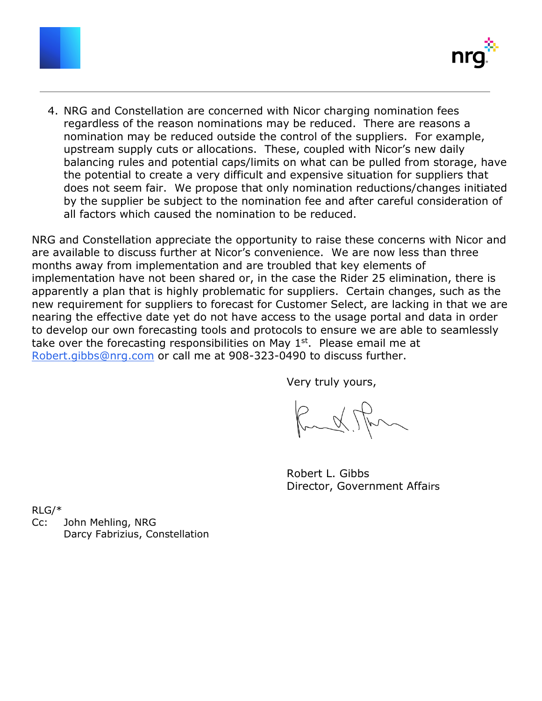



4. NRG and Constellation are concerned with Nicor charging nomination fees regardless of the reason nominations may be reduced. There are reasons a nomination may be reduced outside the control of the suppliers. For example, upstream supply cuts or allocations. These, coupled with Nicor's new daily balancing rules and potential caps/limits on what can be pulled from storage, have the potential to create a very difficult and expensive situation for suppliers that does not seem fair. We propose that only nomination reductions/changes initiated by the supplier be subject to the nomination fee and after careful consideration of all factors which caused the nomination to be reduced.

NRG and Constellation appreciate the opportunity to raise these concerns with Nicor and are available to discuss further at Nicor's convenience. We are now less than three months away from implementation and are troubled that key elements of implementation have not been shared or, in the case the Rider 25 elimination, there is apparently a plan that is highly problematic for suppliers. Certain changes, such as the new requirement for suppliers to forecast for Customer Select, are lacking in that we are nearing the effective date yet do not have access to the usage portal and data in order to develop our own forecasting tools and protocols to ensure we are able to seamlessly take over the forecasting responsibilities on May  $1<sup>st</sup>$ . Please email me at [Robert.gibbs@nrg.com](mailto:Robert.gibbs@nrg.com) or call me at 908-323-0490 to discuss further.

Very truly yours,

Rudithm

Robert L. Gibbs Director, Government Affairs

RLG/\*

Cc: John Mehling, NRG Darcy Fabrizius, Constellation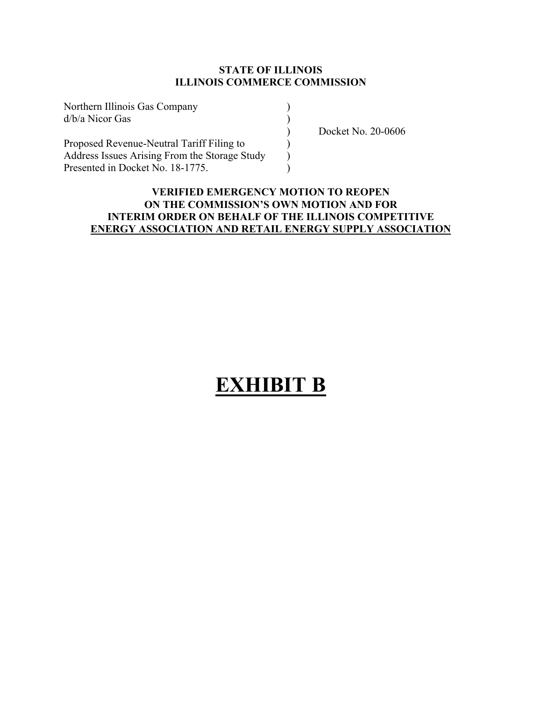| Northern Illinois Gas Company                 |  |
|-----------------------------------------------|--|
| $d/b/a$ Nicor Gas                             |  |
|                                               |  |
| Proposed Revenue-Neutral Tariff Filing to     |  |
| Address Issues Arising From the Storage Study |  |
| Presented in Docket No. 18-1775.              |  |

) Docket No. 20-0606

## **VERIFIED EMERGENCY MOTION TO REOPEN ON THE COMMISSION'S OWN MOTION AND FOR INTERIM ORDER ON BEHALF OF THE ILLINOIS COMPETITIVE ENERGY ASSOCIATION AND RETAIL ENERGY SUPPLY ASSOCIATION**

## **EXHIBIT B**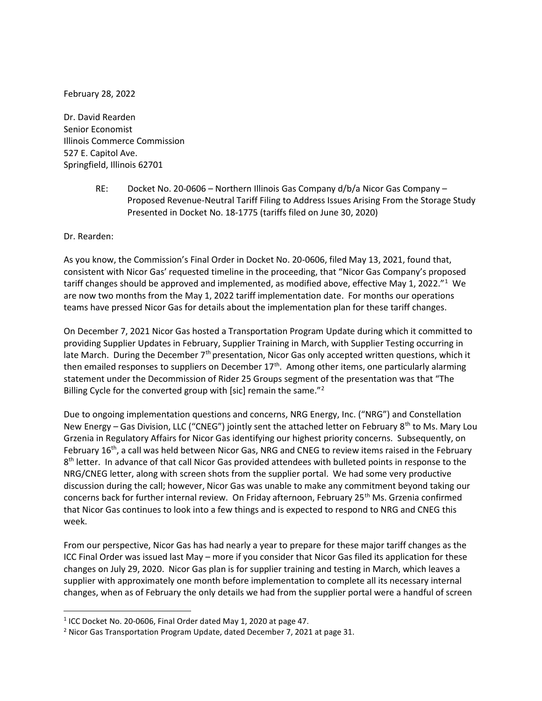February 28, 2022

Dr. David Rearden Senior Economist Illinois Commerce Commission 527 E. Capitol Ave. Springfield, Illinois 62701

> RE: Docket No. 20-0606 – Northern Illinois Gas Company d/b/a Nicor Gas Company – Proposed Revenue-Neutral Tariff Filing to Address Issues Arising From the Storage Study Presented in Docket No. 18-1775 (tariffs filed on June 30, 2020)

Dr. Rearden:

As you know, the Commission's Final Order in Docket No. 20-0606, filed May 13, 2021, found that, consistent with Nicor Gas' requested timeline in the proceeding, that "Nicor Gas Company's proposed tariff changes should be approved and implemented, as modified above, effective May 1, 2022."<sup>1</sup> We are now two months from the May 1, 2022 tariff implementation date. For months our operations teams have pressed Nicor Gas for details about the implementation plan for these tariff changes.

On December 7, 2021 Nicor Gas hosted a Transportation Program Update during which it committed to providing Supplier Updates in February, Supplier Training in March, with Supplier Testing occurring in late March. During the December  $7<sup>th</sup>$  presentation, Nicor Gas only accepted written questions, which it then emailed responses to suppliers on December  $17<sup>th</sup>$ . Among other items, one particularly alarming statement under the Decommission of Rider 25 Groups segment of the presentation was that "The Billing Cycle for the converted group with [sic] remain the same." $2$ 

Due to ongoing implementation questions and concerns, NRG Energy, Inc. ("NRG") and Constellation New Energy – Gas Division, LLC ("CNEG") jointly sent the attached letter on February 8<sup>th</sup> to Ms. Mary Lou Grzenia in Regulatory Affairs for Nicor Gas identifying our highest priority concerns. Subsequently, on February 16<sup>th</sup>, a call was held between Nicor Gas, NRG and CNEG to review items raised in the February 8<sup>th</sup> letter. In advance of that call Nicor Gas provided attendees with bulleted points in response to the NRG/CNEG letter, along with screen shots from the supplier portal. We had some very productive discussion during the call; however, Nicor Gas was unable to make any commitment beyond taking our concerns back for further internal review. On Friday afternoon, February 25<sup>th</sup> Ms. Grzenia confirmed that Nicor Gas continues to look into a few things and is expected to respond to NRG and CNEG this week.

From our perspective, Nicor Gas has had nearly a year to prepare for these major tariff changes as the ICC Final Order was issued last May – more if you consider that Nicor Gas filed its application for these changes on July 29, 2020. Nicor Gas plan is for supplier training and testing in March, which leaves a supplier with approximately one month before implementation to complete all its necessary internal changes, when as of February the only details we had from the supplier portal were a handful of screen

<sup>&</sup>lt;sup>1</sup> ICC Docket No. 20-0606, Final Order dated May 1, 2020 at page 47.

<sup>&</sup>lt;sup>2</sup> Nicor Gas Transportation Program Update, dated December 7, 2021 at page 31.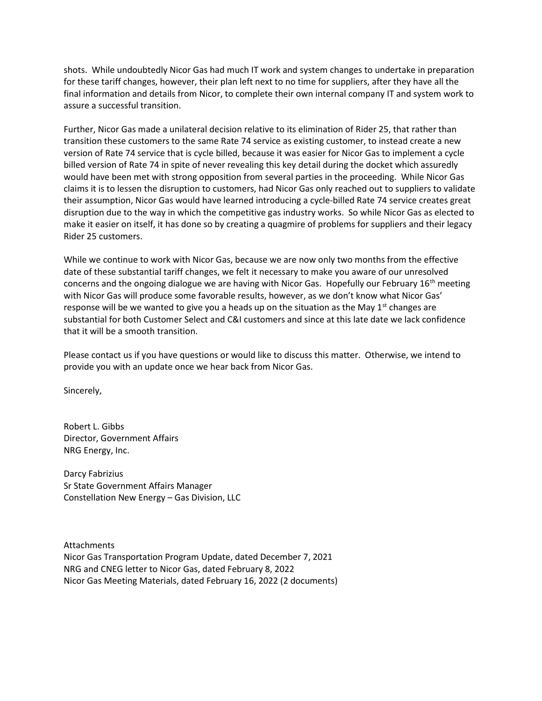shots. While undoubtedly Nicor Gas had much IT work and system changes to undertake in preparation for these tariff changes, however, their plan left next to no time for suppliers, after they have all the final information and details from Nicor, to complete their own internal company IT and system work to assure a successful transition.

Further, Nicor Gas made a unilateral decision relative to its elimination of Rider 25, that rather than transition these customers to the same Rate 74 service as existing customer, to instead create a new version of Rate 74 service that is cycle billed, because it was easier for Nicor Gas to implement a cycle billed version of Rate 74 in spite of never revealing this key detail during the docket which assuredly would have been met with strong opposition from several parties in the proceeding. While Nicor Gas claims it is to lessen the disruption to customers, had Nicor Gas only reached out to suppliers to validate their assumption, Nicor Gas would have learned introducing a cycle-billed Rate 74 service creates great disruption due to the way in which the competitive gas industry works. So while Nicor Gas as elected to make it easier on itself, it has done so by creating a quagmire of problems for suppliers and their legacy Rider 25 customers.

While we continue to work with Nicor Gas, because we are now only two months from the effective date of these substantial tariff changes, we felt it necessary to make you aware of our unresolved concerns and the ongoing dialogue we are having with Nicor Gas. Hopefully our February  $16<sup>th</sup>$  meeting with Nicor Gas will produce some favorable results, however, as we don't know what Nicor Gas' response will be we wanted to give you a heads up on the situation as the May  $1<sup>st</sup>$  changes are substantial for both Customer Select and C&I customers and since at this late date we lack confidence that it will be a smooth transition.

Please contact us if you have questions or would like to discuss this matter. Otherwise, we intend to provide you with an update once we hear back from Nicor Gas.

Sincerely,

Robert L. Gibbs Director, Government Affairs NRG Energy, Inc.

Darcy Fabrizius Sr State Government Affairs Manager Constellation New Energy – Gas Division, LLC

Attachments Nicor Gas Transportation Program Update, dated December 7, 2021 NRG and CNEG letter to Nicor Gas, dated February 8, 2022 Nicor Gas Meeting Materials, dated February 16, 2022 (2 documents)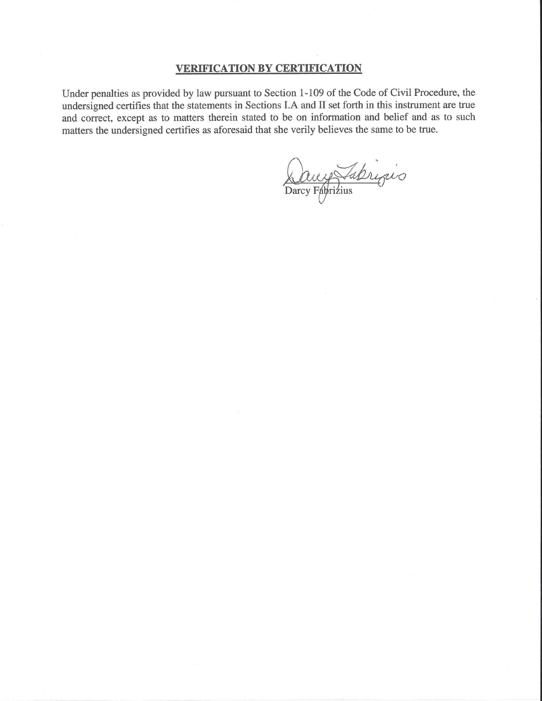#### **VERIFICATION BY CERTIFICATION**

Under penalties as provided by law pursuant to Section 1-109 of the Code of Civil Procedure, the undersigned certifies that the statements in Sections I.A and II set forth in this instrument are true and correct, except as to matters therein stated to be on information and belief and as to such matters the undersigned certifies as aforesaid that she verily believes the same to be true.

Ducy Tabriquo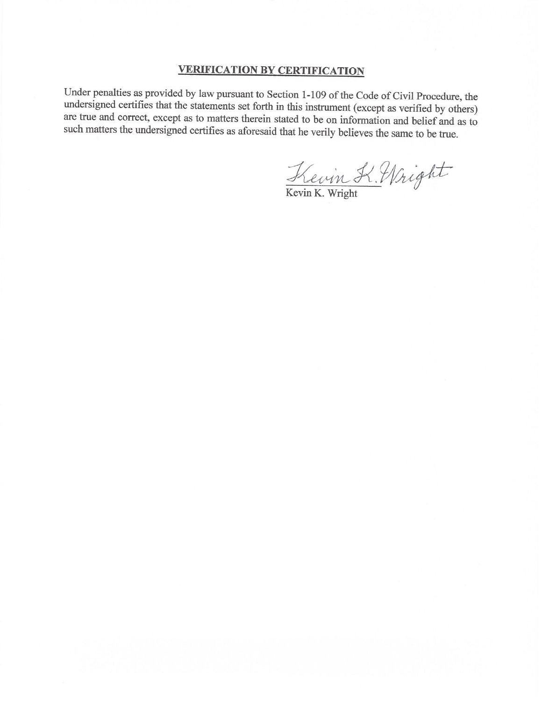## **VERIFICATION BY CERTIFICATION**

Under penalties as provided by law pursuant to Section 1-109 of the Code of Civil Procedure, the undersigned certifies that the statements set forth in this instrument (except as verified by others) are true and correct, except as to matters therein stated to be on information and belief and as to such matters the undersigned certifies as aforesaid that he verily believes the same to be true.

Kevin K. Wright